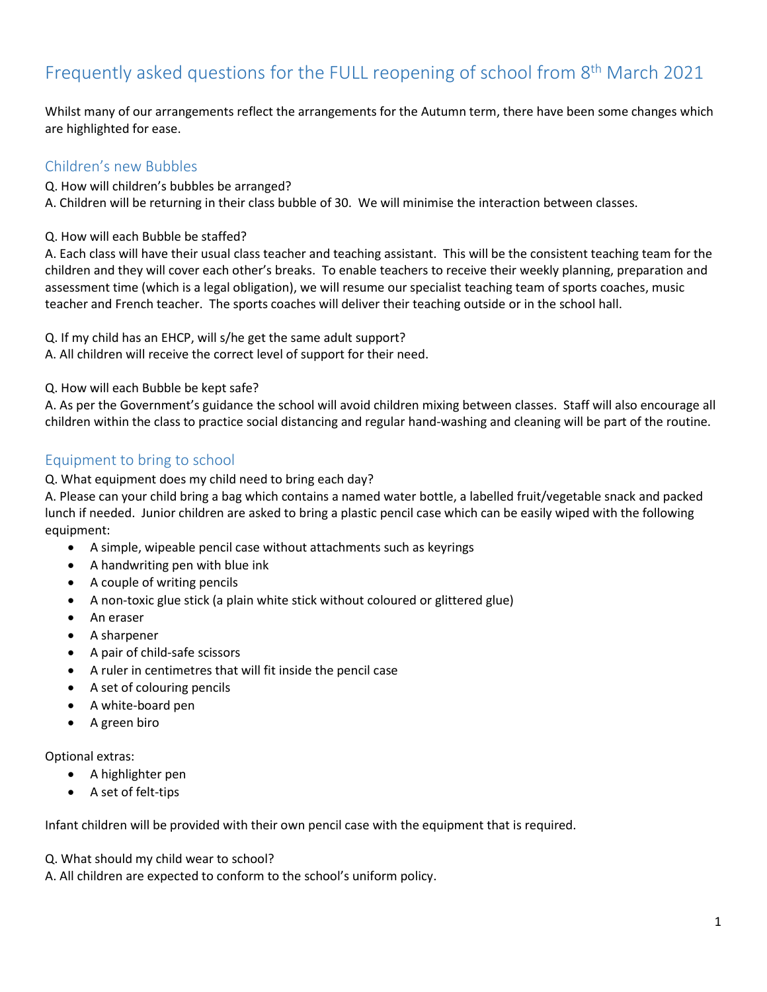# Frequently asked questions for the FULL reopening of school from 8<sup>th</sup> March 2021

Whilst many of our arrangements reflect the arrangements for the Autumn term, there have been some changes which are highlighted for ease.

#### Children's new Bubbles

Q. How will children's bubbles be arranged?

A. Children will be returning in their class bubble of 30. We will minimise the interaction between classes.

Q. How will each Bubble be staffed?

A. Each class will have their usual class teacher and teaching assistant. This will be the consistent teaching team for the children and they will cover each other's breaks. To enable teachers to receive their weekly planning, preparation and assessment time (which is a legal obligation), we will resume our specialist teaching team of sports coaches, music teacher and French teacher. The sports coaches will deliver their teaching outside or in the school hall.

Q. If my child has an EHCP, will s/he get the same adult support?

A. All children will receive the correct level of support for their need.

Q. How will each Bubble be kept safe?

A. As per the Government's guidance the school will avoid children mixing between classes. Staff will also encourage all children within the class to practice social distancing and regular hand-washing and cleaning will be part of the routine.

#### Equipment to bring to school

Q. What equipment does my child need to bring each day?

A. Please can your child bring a bag which contains a named water bottle, a labelled fruit/vegetable snack and packed lunch if needed. Junior children are asked to bring a plastic pencil case which can be easily wiped with the following equipment:

- A simple, wipeable pencil case without attachments such as keyrings
- A handwriting pen with blue ink
- A couple of writing pencils
- A non-toxic glue stick (a plain white stick without coloured or glittered glue)
- An eraser
- A sharpener
- A pair of child-safe scissors
- A ruler in centimetres that will fit inside the pencil case
- A set of colouring pencils
- A white-board pen
- A green biro

Optional extras:

- A highlighter pen
- A set of felt-tips

Infant children will be provided with their own pencil case with the equipment that is required.

Q. What should my child wear to school?

A. All children are expected to conform to the school's uniform policy.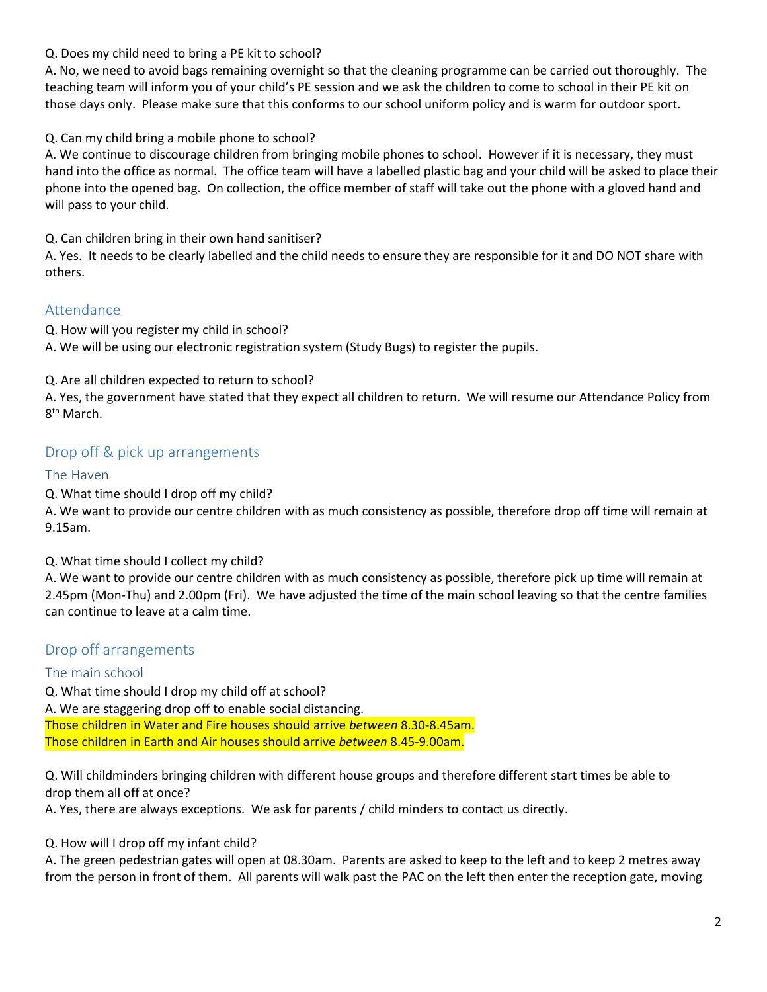#### Q. Does my child need to bring a PE kit to school?

A. No, we need to avoid bags remaining overnight so that the cleaning programme can be carried out thoroughly. The teaching team will inform you of your child's PE session and we ask the children to come to school in their PE kit on those days only. Please make sure that this conforms to our school uniform policy and is warm for outdoor sport.

#### Q. Can my child bring a mobile phone to school?

A. We continue to discourage children from bringing mobile phones to school. However if it is necessary, they must hand into the office as normal. The office team will have a labelled plastic bag and your child will be asked to place their phone into the opened bag. On collection, the office member of staff will take out the phone with a gloved hand and will pass to your child.

Q. Can children bring in their own hand sanitiser?

A. Yes. It needs to be clearly labelled and the child needs to ensure they are responsible for it and DO NOT share with others.

#### Attendance

Q. How will you register my child in school?

A. We will be using our electronic registration system (Study Bugs) to register the pupils.

Q. Are all children expected to return to school?

A. Yes, the government have stated that they expect all children to return. We will resume our Attendance Policy from 8<sup>th</sup> March.

#### Drop off & pick up arrangements

#### The Haven

Q. What time should I drop off my child?

A. We want to provide our centre children with as much consistency as possible, therefore drop off time will remain at 9.15am.

Q. What time should I collect my child?

A. We want to provide our centre children with as much consistency as possible, therefore pick up time will remain at 2.45pm (Mon-Thu) and 2.00pm (Fri). We have adjusted the time of the main school leaving so that the centre families can continue to leave at a calm time.

#### Drop off arrangements

#### The main school

Q. What time should I drop my child off at school?

A. We are staggering drop off to enable social distancing. Those children in Water and Fire houses should arrive *between* 8.30-8.45am.

Those children in Earth and Air houses should arrive *between* 8.45-9.00am.

Q. Will childminders bringing children with different house groups and therefore different start times be able to drop them all off at once?

A. Yes, there are always exceptions. We ask for parents / child minders to contact us directly.

Q. How will I drop off my infant child?

A. The green pedestrian gates will open at 08.30am. Parents are asked to keep to the left and to keep 2 metres away from the person in front of them. All parents will walk past the PAC on the left then enter the reception gate, moving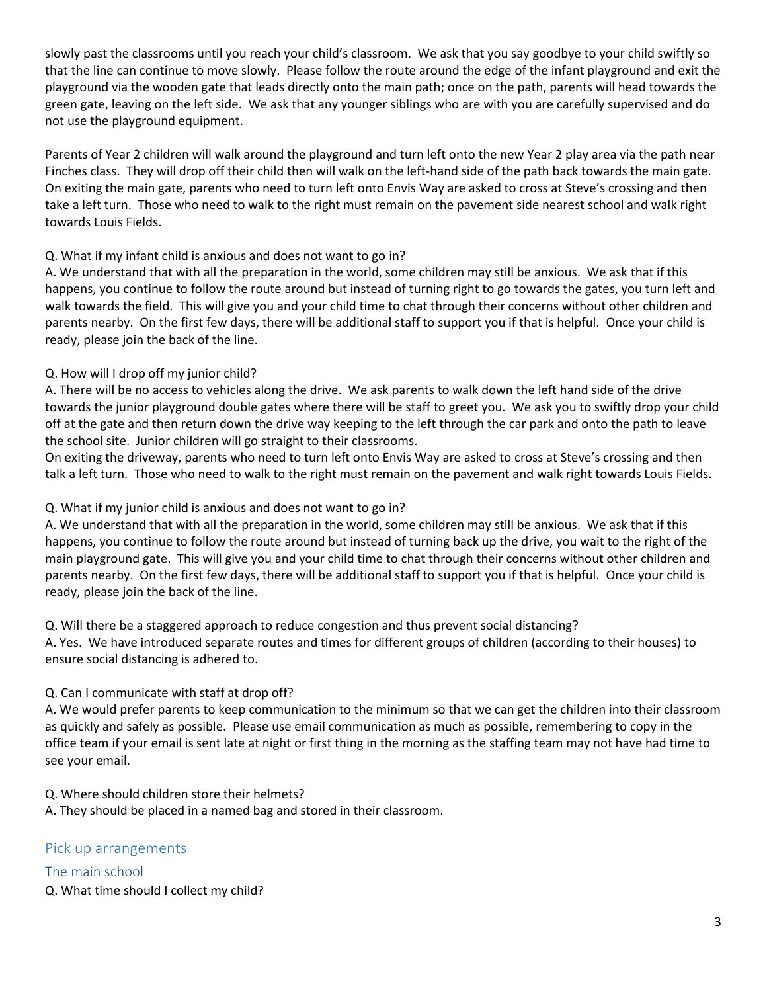slowly past the classrooms until you reach your child's classroom. We ask that you say goodbye to your child swiftly so that the line can continue to move slowly. Please follow the route around the edge of the infant playground and exit the playground via the wooden gate that leads directly onto the main path; once on the path, parents will head towards the green gate, leaving on the left side. We ask that any younger siblings who are with you are carefully supervised and do not use the playground equipment.

Parents of Year 2 children will walk around the playground and turn left onto the new Year 2 play area via the path near Finches class. They will drop off their child then will walk on the left-hand side of the path back towards the main gate. On exiting the main gate, parents who need to turn left onto Envis Way are asked to cross at Steve's crossing and then take a left turn. Those who need to walk to the right must remain on the pavement side nearest school and walk right towards Louis Fields.

#### Q. What if my infant child is anxious and does not want to go in?

A. We understand that with all the preparation in the world, some children may still be anxious. We ask that if this happens, you continue to follow the route around but instead of turning right to go towards the gates, you turn left and walk towards the field. This will give you and your child time to chat through their concerns without other children and parents nearby. On the first few days, there will be additional staff to support you if that is helpful. Once your child is ready, please join the back of the line.

#### Q. How will I drop off my junior child?

A. There will be no access to vehicles along the drive. We ask parents to walk down the left hand side of the drive towards the junior playground double gates where there will be staff to greet you. We ask you to swiftly drop your child off at the gate and then return down the drive way keeping to the left through the car park and onto the path to leave the school site. Junior children will go straight to their classrooms.

On exiting the driveway, parents who need to turn left onto Envis Way are asked to cross at Steve's crossing and then talk a left turn. Those who need to walk to the right must remain on the pavement and walk right towards Louis Fields.

#### Q. What if my junior child is anxious and does not want to go in?

A. We understand that with all the preparation in the world, some children may still be anxious. We ask that if this happens, you continue to follow the route around but instead of turning back up the drive, you wait to the right of the main playground gate. This will give you and your child time to chat through their concerns without other children and parents nearby. On the first few days, there will be additional staff to support you if that is helpful. Once your child is ready, please join the back of the line.

Q. Will there be a staggered approach to reduce congestion and thus prevent social distancing? A. Yes. We have introduced separate routes and times for different groups of children (according to their houses) to ensure social distancing is adhered to.

#### Q. Can I communicate with staff at drop off?

A. We would prefer parents to keep communication to the minimum so that we can get the children into their classroom as quickly and safely as possible. Please use email communication as much as possible, remembering to copy in the office team if your email is sent late at night or first thing in the morning as the staffing team may not have had time to see your email.

Q. Where should children store their helmets?

A. They should be placed in a named bag and stored in their classroom.

#### Pick up arrangements

The main school Q. What time should I collect my child?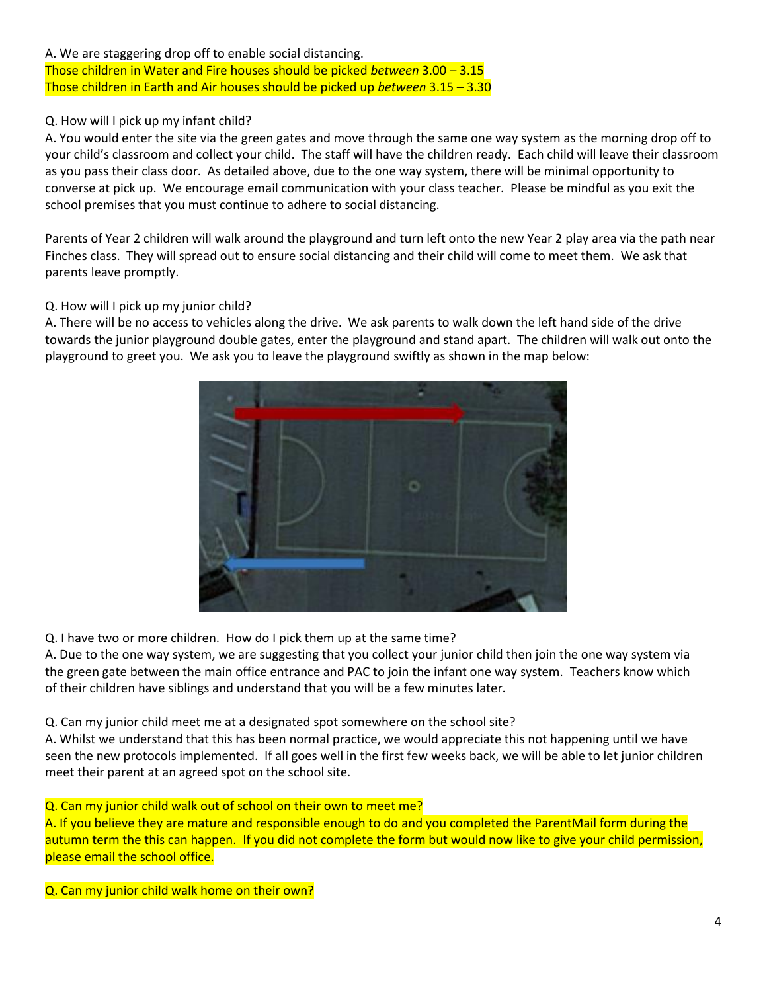#### A. We are staggering drop off to enable social distancing. Those children in Water and Fire houses should be picked *between* 3.00 – 3.15 Those children in Earth and Air houses should be picked up *between* 3.15 – 3.30

#### Q. How will I pick up my infant child?

A. You would enter the site via the green gates and move through the same one way system as the morning drop off to your child's classroom and collect your child. The staff will have the children ready. Each child will leave their classroom as you pass their class door. As detailed above, due to the one way system, there will be minimal opportunity to converse at pick up. We encourage email communication with your class teacher. Please be mindful as you exit the school premises that you must continue to adhere to social distancing.

Parents of Year 2 children will walk around the playground and turn left onto the new Year 2 play area via the path near Finches class. They will spread out to ensure social distancing and their child will come to meet them. We ask that parents leave promptly.

#### Q. How will I pick up my junior child?

A. There will be no access to vehicles along the drive. We ask parents to walk down the left hand side of the drive towards the junior playground double gates, enter the playground and stand apart. The children will walk out onto the playground to greet you. We ask you to leave the playground swiftly as shown in the map below:



Q. I have two or more children. How do I pick them up at the same time?

A. Due to the one way system, we are suggesting that you collect your junior child then join the one way system via the green gate between the main office entrance and PAC to join the infant one way system. Teachers know which of their children have siblings and understand that you will be a few minutes later.

Q. Can my junior child meet me at a designated spot somewhere on the school site?

A. Whilst we understand that this has been normal practice, we would appreciate this not happening until we have seen the new protocols implemented. If all goes well in the first few weeks back, we will be able to let junior children meet their parent at an agreed spot on the school site.

Q. Can my junior child walk out of school on their own to meet me?

A. If you believe they are mature and responsible enough to do and you completed the ParentMail form during the autumn term the this can happen. If you did not complete the form but would now like to give your child permission, please email the school office.

Q. Can my junior child walk home on their own?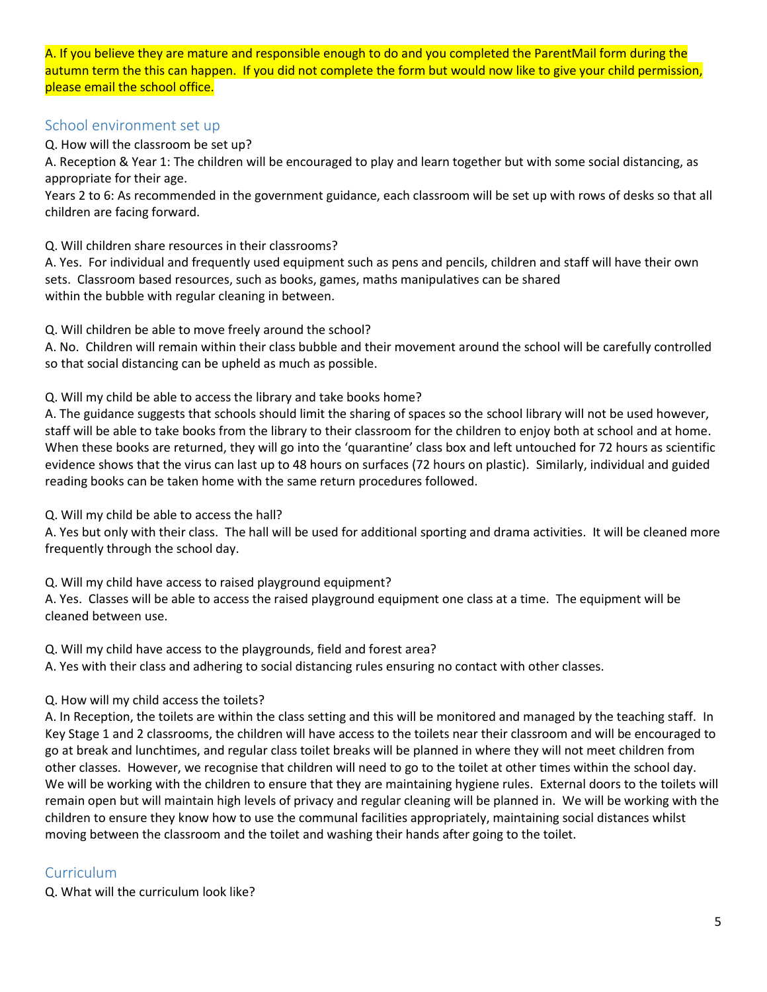A. If you believe they are mature and responsible enough to do and you completed the ParentMail form during the autumn term the this can happen. If you did not complete the form but would now like to give your child permission, please email the school office.

#### School environment set up

Q. How will the classroom be set up?

A. Reception & Year 1: The children will be encouraged to play and learn together but with some social distancing, as appropriate for their age.

Years 2 to 6: As recommended in the government guidance, each classroom will be set up with rows of desks so that all children are facing forward.

Q. Will children share resources in their classrooms?

A. Yes. For individual and frequently used equipment such as pens and pencils, children and staff will have their own sets. Classroom based resources, such as books, games, maths manipulatives can be shared within the bubble with regular cleaning in between.

Q. Will children be able to move freely around the school?

A. No. Children will remain within their class bubble and their movement around the school will be carefully controlled so that social distancing can be upheld as much as possible.

Q. Will my child be able to access the library and take books home?

A. The guidance suggests that schools should limit the sharing of spaces so the school library will not be used however, staff will be able to take books from the library to their classroom for the children to enjoy both at school and at home. When these books are returned, they will go into the 'quarantine' class box and left untouched for 72 hours as scientific evidence shows that the virus can last up to 48 hours on surfaces (72 hours on plastic). Similarly, individual and guided reading books can be taken home with the same return procedures followed.

Q. Will my child be able to access the hall?

A. Yes but only with their class. The hall will be used for additional sporting and drama activities. It will be cleaned more frequently through the school day.

Q. Will my child have access to raised playground equipment?

A. Yes. Classes will be able to access the raised playground equipment one class at a time. The equipment will be cleaned between use.

Q. Will my child have access to the playgrounds, field and forest area?

A. Yes with their class and adhering to social distancing rules ensuring no contact with other classes.

Q. How will my child access the toilets?

A. In Reception, the toilets are within the class setting and this will be monitored and managed by the teaching staff. In Key Stage 1 and 2 classrooms, the children will have access to the toilets near their classroom and will be encouraged to go at break and lunchtimes, and regular class toilet breaks will be planned in where they will not meet children from other classes. However, we recognise that children will need to go to the toilet at other times within the school day. We will be working with the children to ensure that they are maintaining hygiene rules. External doors to the toilets will remain open but will maintain high levels of privacy and regular cleaning will be planned in. We will be working with the children to ensure they know how to use the communal facilities appropriately, maintaining social distances whilst moving between the classroom and the toilet and washing their hands after going to the toilet.

## **Curriculum**

Q. What will the curriculum look like?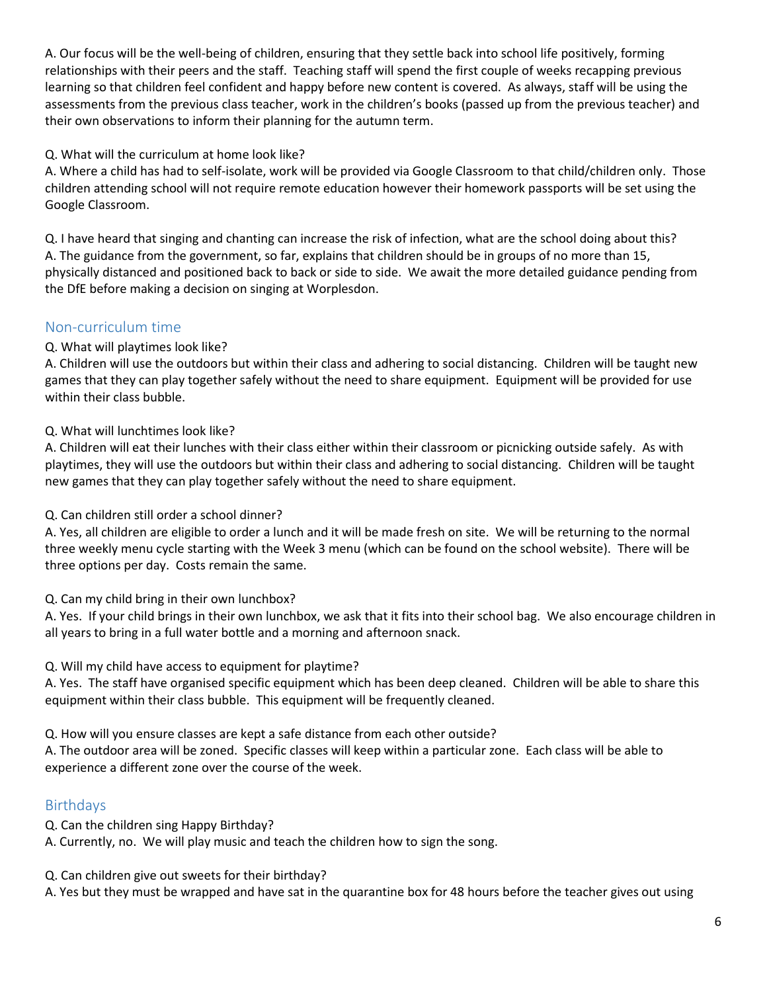A. Our focus will be the well-being of children, ensuring that they settle back into school life positively, forming relationships with their peers and the staff. Teaching staff will spend the first couple of weeks recapping previous learning so that children feel confident and happy before new content is covered. As always, staff will be using the assessments from the previous class teacher, work in the children's books (passed up from the previous teacher) and their own observations to inform their planning for the autumn term.

#### Q. What will the curriculum at home look like?

A. Where a child has had to self-isolate, work will be provided via Google Classroom to that child/children only. Those children attending school will not require remote education however their homework passports will be set using the Google Classroom.

Q. I have heard that singing and chanting can increase the risk of infection, what are the school doing about this? A. The guidance from the government, so far, explains that children should be in groups of no more than 15, physically distanced and positioned back to back or side to side. We await the more detailed guidance pending from the DfE before making a decision on singing at Worplesdon.

## Non-curriculum time

#### Q. What will playtimes look like?

A. Children will use the outdoors but within their class and adhering to social distancing. Children will be taught new games that they can play together safely without the need to share equipment. Equipment will be provided for use within their class bubble.

#### Q. What will lunchtimes look like?

A. Children will eat their lunches with their class either within their classroom or picnicking outside safely. As with playtimes, they will use the outdoors but within their class and adhering to social distancing. Children will be taught new games that they can play together safely without the need to share equipment.

#### Q. Can children still order a school dinner?

A. Yes, all children are eligible to order a lunch and it will be made fresh on site. We will be returning to the normal three weekly menu cycle starting with the Week 3 menu (which can be found on the school website). There will be three options per day. Costs remain the same.

#### Q. Can my child bring in their own lunchbox?

A. Yes. If your child brings in their own lunchbox, we ask that it fits into their school bag. We also encourage children in all years to bring in a full water bottle and a morning and afternoon snack.

## Q. Will my child have access to equipment for playtime?

A. Yes. The staff have organised specific equipment which has been deep cleaned. Children will be able to share this equipment within their class bubble. This equipment will be frequently cleaned.

Q. How will you ensure classes are kept a safe distance from each other outside?

A. The outdoor area will be zoned. Specific classes will keep within a particular zone. Each class will be able to experience a different zone over the course of the week.

# Birthdays

Q. Can the children sing Happy Birthday?

A. Currently, no. We will play music and teach the children how to sign the song.

Q. Can children give out sweets for their birthday?

A. Yes but they must be wrapped and have sat in the quarantine box for 48 hours before the teacher gives out using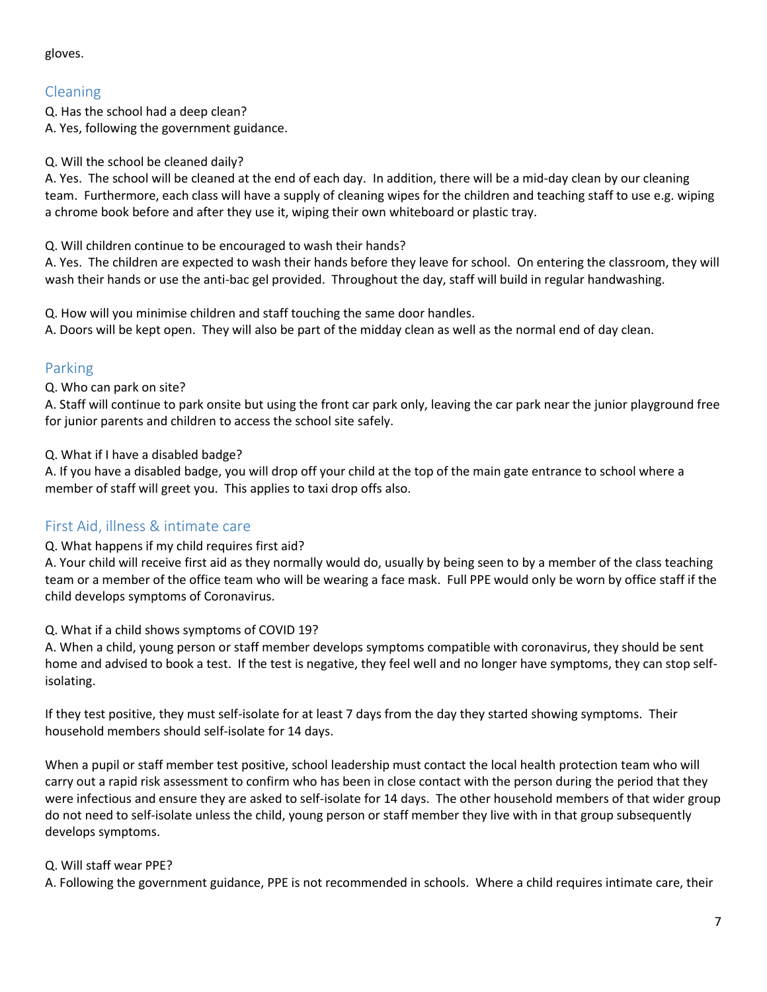#### gloves.

# Cleaning

Q. Has the school had a deep clean? A. Yes, following the government guidance.

#### Q. Will the school be cleaned daily?

A. Yes. The school will be cleaned at the end of each day. In addition, there will be a mid-day clean by our cleaning team. Furthermore, each class will have a supply of cleaning wipes for the children and teaching staff to use e.g. wiping a chrome book before and after they use it, wiping their own whiteboard or plastic tray.

Q. Will children continue to be encouraged to wash their hands?

A. Yes. The children are expected to wash their hands before they leave for school. On entering the classroom, they will wash their hands or use the anti-bac gel provided. Throughout the day, staff will build in regular handwashing.

Q. How will you minimise children and staff touching the same door handles.

A. Doors will be kept open. They will also be part of the midday clean as well as the normal end of day clean.

# Parking

Q. Who can park on site?

A. Staff will continue to park onsite but using the front car park only, leaving the car park near the junior playground free for junior parents and children to access the school site safely.

Q. What if I have a disabled badge?

A. If you have a disabled badge, you will drop off your child at the top of the main gate entrance to school where a member of staff will greet you. This applies to taxi drop offs also.

# First Aid, illness & intimate care

#### Q. What happens if my child requires first aid?

A. Your child will receive first aid as they normally would do, usually by being seen to by a member of the class teaching team or a member of the office team who will be wearing a face mask. Full PPE would only be worn by office staff if the child develops symptoms of Coronavirus.

#### Q. What if a child shows symptoms of COVID 19?

A. When a child, young person or staff member develops symptoms compatible with coronavirus, they should be sent home and advised to book a test. If the test is negative, they feel well and no longer have symptoms, they can stop selfisolating.

If they test positive, they must self-isolate for at least 7 days from the day they started showing symptoms. Their household members should self-isolate for 14 days.

When a pupil or staff member test positive, school leadership must contact the local health protection team who will carry out a rapid risk assessment to confirm who has been in close contact with the person during the period that they were infectious and ensure they are asked to self-isolate for 14 days. The other household members of that wider group do not need to self-isolate unless the child, young person or staff member they live with in that group subsequently develops symptoms.

## Q. Will staff wear PPE?

A. Following the government guidance, PPE is not recommended in schools. Where a child requires intimate care, their